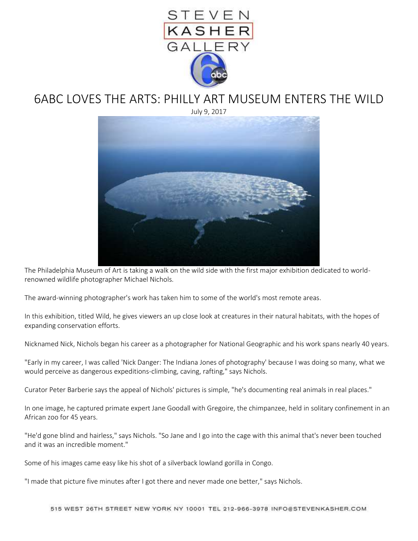

## 6ABC LOVES THE ARTS: PHILLY ART MUSEUM ENTERS THE WILD

July 9, 2017



The Philadelphia Museum of Art is taking a walk on the wild side with the first major exhibition dedicated to worldrenowned wildlife photographer Michael Nichols.

The award-winning photographer's work has taken him to some of the world's most remote areas.

In this exhibition, titled Wild, he gives viewers an up close look at creatures in their natural habitats, with the hopes of expanding conservation efforts.

Nicknamed Nick, Nichols began his career as a photographer for National Geographic and his work spans nearly 40 years.

"Early in my career, I was called 'Nick Danger: The Indiana Jones of photography' because I was doing so many, what we would perceive as dangerous expeditions-climbing, caving, rafting," says Nichols.

Curator Peter Barberie says the appeal of Nichols' pictures is simple, "he's documenting real animals in real places."

In one image, he captured primate expert Jane Goodall with Gregoire, the chimpanzee, held in solitary confinement in an African zoo for 45 years.

"He'd gone blind and hairless," says Nichols. "So Jane and I go into the cage with this animal that's never been touched and it was an incredible moment."

Some of his images came easy like his shot of a silverback lowland gorilla in Congo.

"I made that picture five minutes after I got there and never made one better," says Nichols.